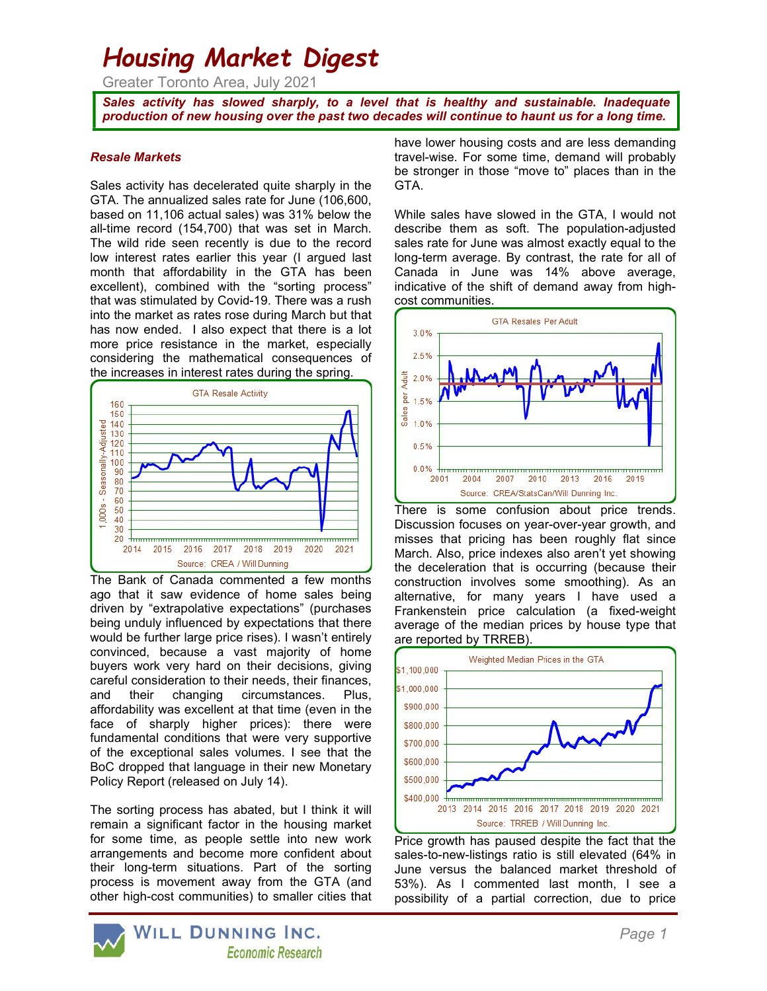# Housing Market Digest

Greater Toronto Area, July 2021

Sales activity has slowed sharply, to a level that is healthy and sustainable. Inadequate production of new housing over the past two decades will continue to haunt us for a long time.

#### Resale Markets

Sales activity has decelerated quite sharply in the GTA. The annualized sales rate for June (106,600, based on 11,106 actual sales) was 31% below the all-time record (154,700) that was set in March. The wild ride seen recently is due to the record low interest rates earlier this year (I argued last month that affordability in the GTA has been excellent), combined with the "sorting process" that was stimulated by Covid-19. There was a rush into the market as rates rose during March but that has now ended. I also expect that there is a lot more price resistance in the market, especially considering the mathematical consequences of the increases in interest rates during the spring.



The Bank of Canada commented a few months ago that it saw evidence of home sales being driven by "extrapolative expectations" (purchases being unduly influenced by expectations that there would be further large price rises). I wasn't entirely convinced, because a vast majority of home buyers work very hard on their decisions, giving careful consideration to their needs, their finances, and their changing circumstances. Plus, affordability was excellent at that time (even in the face of sharply higher prices): there were fundamental conditions that were very supportive of the exceptional sales volumes. I see that the BoC dropped that language in their new Monetary Policy Report (released on July 14).

The sorting process has abated, but I think it will remain a significant factor in the housing market for some time, as people settle into new work arrangements and become more confident about their long-term situations. Part of the sorting process is movement away from the GTA (and other high-cost communities) to smaller cities that have lower housing costs and are less demanding travel-wise. For some time, demand will probably be stronger in those "move to" places than in the GTA.

While sales have slowed in the GTA, I would not describe them as soft. The population-adjusted sales rate for June was almost exactly equal to the long-term average. By contrast, the rate for all of Canada in June was 14% above average, indicative of the shift of demand away from highcost communities.



There is some confusion about price trends. Discussion focuses on year-over-year growth, and misses that pricing has been roughly flat since March. Also, price indexes also aren't yet showing the deceleration that is occurring (because their construction involves some smoothing). As an alternative, for many years I have used a Frankenstein price calculation (a fixed-weight average of the median prices by house type that are reported by TRREB).



Price growth has paused despite the fact that the sales-to-new-listings ratio is still elevated (64% in June versus the balanced market threshold of 53%). As I commented last month, I see a possibility of a partial correction, due to price